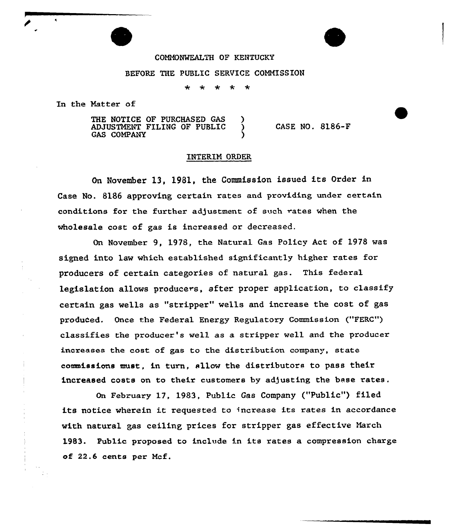## COMMONWEALTH OF KENTUCKY

## BEFORE THE PUBLIC SERUICE COMMISSION

 $\ddot{\phantom{1}}$ ÷

In the Matter of

THE NOTICE OF PURCHASED GAS ADJUSTMENT FILING OF PUBLIC ) **GAS COMPANY** 

CASE NO. 8186-F

## INTERIM ORDER

On November 13, 1981, the Commission issued its Order in Case No. 8186 approving certain rates and providing under certain conditions for the further adjustment of such rates when the wholesale cost of gas is increased or decreased.

On November 9, 1978, the Natural Gas Policy Act of 1978 was signed into law which established significantly higher rates for producers of certain categories of natural gas. This federal legislation allows producers, after proper application, to classify certain gas wells as "stripper" wells and increase the cost of gas produced. Once the Federal Energy Regulatory Commission ("FERC") classifies the producer's well as a stripper well and the producer increases the cost of gas to the distribution company, state commissions must, in turn, sllow the distributors to pass their increased costs on to their customers by adjusting the base rates.

On February 17, 1983, Public Gas Company ("Public") filed its notice wherein it requested to increase its rates in accordance with natural gas ceiling prices for stripper gas effective March 1983. Public proposed to include in its rates a compression charge of 22.6 cents per Mcf.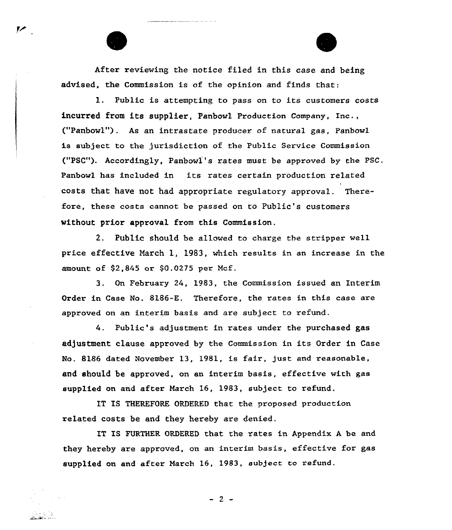After reviewing the notice filed in this case and being advised, the Commission is of the opinion and finds that:

l. Public is attempting to pass on to its customers costs incurred from its supplier, Panbowl Production Company, Inc., ("Panbowl"). As an intrastate producex of natural gas, Panbowl is subject to the jurisdiction of the Public Service Commission ("PSC"). Accordingly, Panbowl's rates must be approved by the PSC. Panbowl has included in its rates certain production related costs that have not had appropriate regulatory approval. Therefore, these costs cannot be passed on to Public's customers without prior approval from this Commission.

2. Public should be allowed to charge the stripper well price effective Narch l, 1983, which results in an increase in the amount of \$2,845 or \$0.0275 per Mcf.

3. On February 24, 1983, the Commission issued an Interim Order in Case No. 8186-E. Therefore, the rates in this case are approved on an interim basis and are subject to refund.

4. Public's adjustment in rates under the purchased gas adjustment clause approved by the Commission in its Order in Case No. 8186 dated November 13, 1981, is fair, just and reasonable, and should be approved, on an interim basis, effective with gas supplied on and after March 16, 1983, subject to refund.

IT IS THEREFORE ORDERED that the proposed production related costs be and they hereby are denied.

IT IS FURTHER ORDERED that the rates in Appendix A be and they hereby are approved, on an interim basis, effective for gas supplied on and after March 16, 1983, subject to refund.

 $-2 -$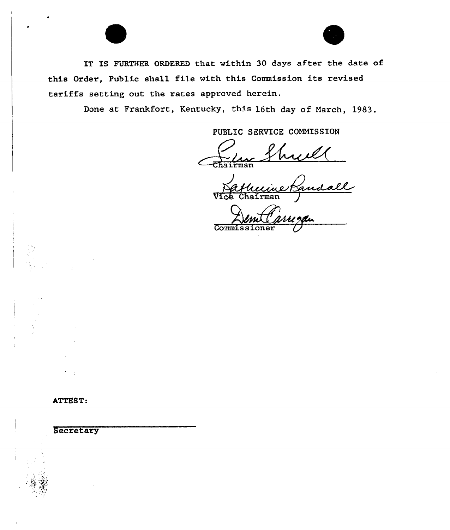IT IS FURTHER ORDERED that within 30 days after the date of this Order, Public shall file with this Commission its revised tariffs setting out the rates approved herein.

Done at Frankfort, Kentucky, this 16th day of March, 1983.

PUBLIC SERVICE COMMISSION

huil

eknaall Vice Chairman

Commi

ATTEST:

Secretary